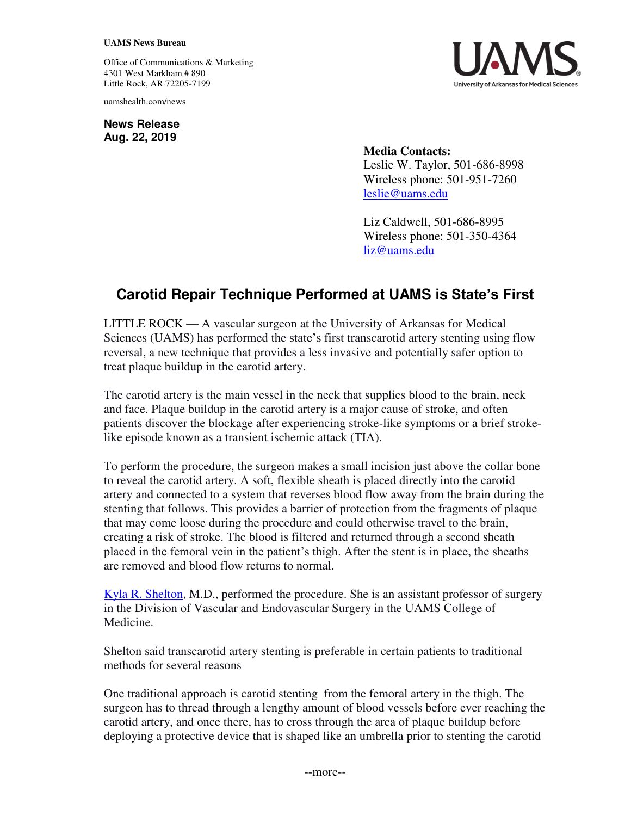## **UAMS News Bureau**

Office of Communications & Marketing 4301 West Markham # 890 Little Rock, AR 72205-7199

uamshealth.com/news

**News Release Aug. 22, 2019**



**Media Contacts:**  Leslie W. Taylor, 501-686-8998 Wireless phone: 501-951-7260 [leslie@uams.edu](mailto:leslie@uams.edu)

Liz Caldwell, 501-686-8995 Wireless phone: 501-350-4364 [liz@uams.edu](mailto:liz@uams.edu)

## **Carotid Repair Technique Performed at UAMS is State's First**

LITTLE ROCK — A vascular surgeon at the University of Arkansas for Medical Sciences (UAMS) has performed the state's first transcarotid artery stenting using flow reversal, a new technique that provides a less invasive and potentially safer option to treat plaque buildup in the carotid artery.

The carotid artery is the main vessel in the neck that supplies blood to the brain, neck and face. Plaque buildup in the carotid artery is a major cause of stroke, and often patients discover the blockage after experiencing stroke-like symptoms or a brief strokelike episode known as a transient ischemic attack (TIA).

To perform the procedure, the surgeon makes a small incision just above the collar bone to reveal the carotid artery. A soft, flexible sheath is placed directly into the carotid artery and connected to a system that reverses blood flow away from the brain during the stenting that follows. This provides a barrier of protection from the fragments of plaque that may come loose during the procedure and could otherwise travel to the brain, creating a risk of stroke. The blood is filtered and returned through a second sheath placed in the femoral vein in the patient's thigh. After the stent is in place, the sheaths are removed and blood flow returns to normal.

[Kyla R. Shelton,](http://doctors.uamshealth.com/Profile/?pid=3380) M.D., performed the procedure. She is an assistant professor of surgery in the Division of Vascular and Endovascular Surgery in the UAMS College of Medicine.

Shelton said transcarotid artery stenting is preferable in certain patients to traditional methods for several reasons

One traditional approach is carotid stenting from the femoral artery in the thigh. The surgeon has to thread through a lengthy amount of blood vessels before ever reaching the carotid artery, and once there, has to cross through the area of plaque buildup before deploying a protective device that is shaped like an umbrella prior to stenting the carotid